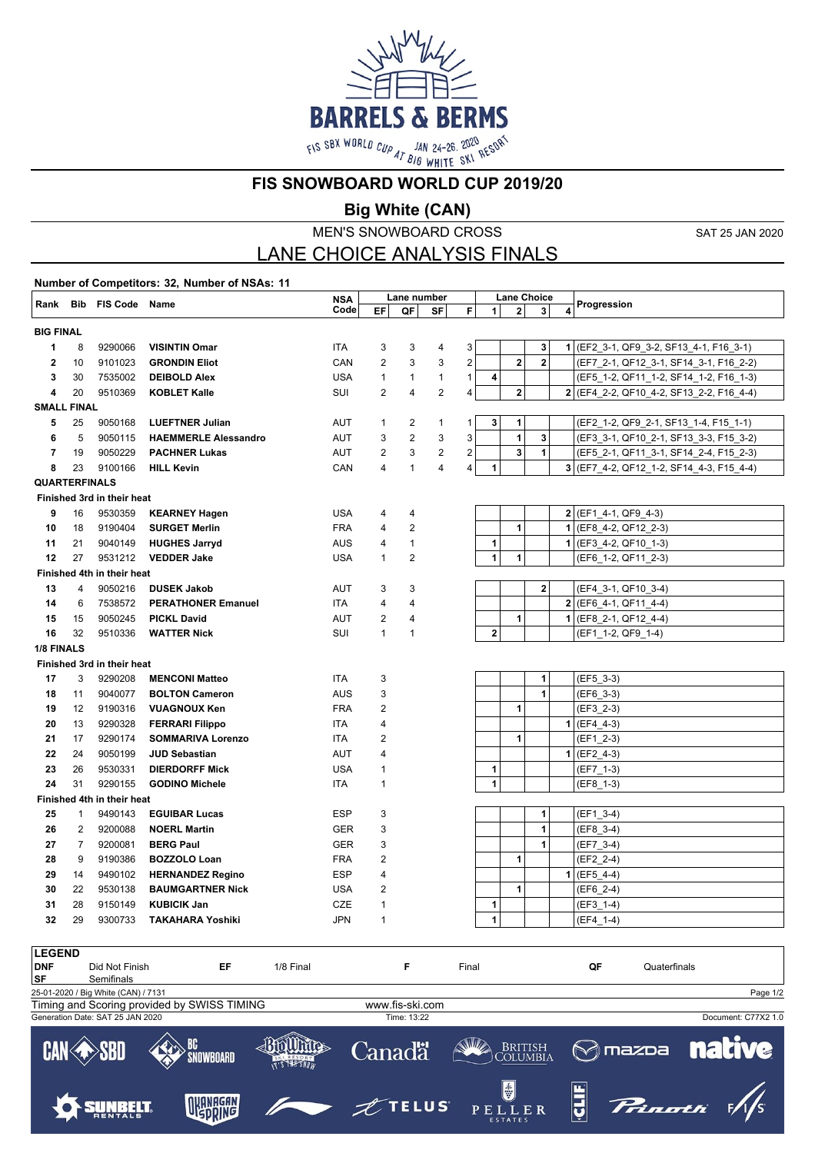

**FIS SNOWBOARD WORLD CUP 2019/20**

**Big White (CAN)**

MEN'S SNOWBOARD CROSS

SAT 25 JAN 2020

## LANE CHOICE ANALYSIS FINALS

**Number of Competitors: 32, Number of NSAs: 11 Rank Bib FIS Code Name NSA NSA** Lane number Lane Choice<br>Code EF QF SF F 1 2 3 4 Progression **EF QF SF F Lane Choice 1 2 3 4 BIG FINAL** 8 9290066 **VISINTIN Omar** ITA 3 3 4 3 **3 1** (EF2\_3-1, QF9\_3-2, SF13\_4-1, F16\_3-1) 10 9101023 **GRONDIN Eliot** CAN 2 3 3 2 **2 2** (EF7\_2-1, QF12\_3-1, SF14\_3-1, F16\_2-2) 30 7535002 **DEIBOLD Alex** USA 1 1 1 1 **4** (EF5\_1-2, QF11\_1-2, SF14\_1-2, F16\_1-3) 20 9510369 **KOBLET Kalle** SUI 2 4 2 4 **2 2** (EF4\_2-2, QF10\_4-2, SF13\_2-2, F16\_4-4) **SMALL FINAL** 25 9050168 **LUEFTNER Julian** AUT 1 2 1 1 **3 1** (EF2\_1-2, QF9\_2-1, SF13\_1-4, F15\_1-1) 5 9050115 **HAEMMERLE Alessandro** AUT 3 2 3 3 **1 3** (EF3\_3-1, QF10\_2-1, SF13\_3-3, F15\_3-2) 19 9050229 **PACHNER Lukas** AUT 2 3 2 2 **3 1** (EF5\_2-1, QF11\_3-1, SF14\_2-4, F15\_2-3) 23 9100166 **HILL Kevin** CAN 4 1 4 4 **1 3** (EF7\_4-2, QF12\_1-2, SF14\_4-3, F15\_4-4) **QUARTERFINALS Finished 3rd in their heat** 16 9530359 **KEARNEY Hagen** USA 4 4 **2** (EF1\_4-1, QF9\_4-3) 18 9190404 **SURGET Merlin** FRA 4 2 **1 1** (EF8\_4-2, QF12\_2-3) 21 9040149 **HUGHES Jarryd** AUS 4 1 **1 1** (EF3\_4-2, QF10\_1-3) 27 9531212 **VEDDER Jake** USA 1 2 **1 1** (EF6\_1-2, QF11\_2-3) **Finished 4th in their heat** 4 9050216 **DUSEK Jakob** AUT 3 3 **2** (EF4\_3-1, QF10\_3-4) 6 7538572 **PERATHONER Emanuel** ITA 4 4 **2** (EF6\_4-1, QF11\_4-4) 15 9050245 **PICKL David** AUT 2 4 **1 1** (EF8\_2-1, QF12\_4-4) 32 9510336 **WATTER Nick** SUI 1 1 **2** (EF1\_1-2, QF9\_1-4) **1/8 FINALS Finished 3rd in their heat** 17 3 9290208 **MENCONI Matteo 17A** 3 **11A** 1 | 1 | (EF5\_3-3) 18 11 9040077 **BOLTON Cameron** AUS 3 1 1 (EF6\_3-3) 12 9190316 **VUAGNOUX Ken** FRA 2 **1** (EF3\_2-3) 13 9290328 **FERRARI Filippo ITA** 4 **1 | | | | | 1** (EF4\_4-3) 17 9290174 **SOMMARIVA Lorenzo** ITA 2 1 1 | [EF1\_2-3) 24 9050199 **JUD Sebastian** AUT 4 **1** (EF2\_4-3) 26 9530331 **DIERDORFF Mick** USA 1 **1** (EF7\_1-3) 31 9290155 **GODINO Michele ITA** 1 **1** (EF8\_1-3) **Finished 4th in their heat** 1 9490143 **EGUIBAR Lucas ESP** 3 **1 1** (EF1\_3-4) 2 9200088 **NOERL Martin** GER 3 **1** (EF8\_3-4) 7 9200081 **BERG Paul** GER 3 **1** (EF7\_3-4) 9 9190386 **BOZZOLO Loan** FRA 2 **1** (EF2\_2-4) 14 9490102 **HERNANDEZ Regino** ESP 4 **1** (EF5\_4-4) 22 9530138 **BAUMGARTNER Nick** USA 2 **1** (EF6\_2-4) 28 9150149 **KUBICIK Jan** CZE 1 **1** (EF3\_1-4) 29 9300733 **TAKAHARA Yoshiki** JPN 1 **1** (EF4\_1-4)

| ------     |                                     |                                             |               |                 |                                            |                |                |                     |
|------------|-------------------------------------|---------------------------------------------|---------------|-----------------|--------------------------------------------|----------------|----------------|---------------------|
| <b>DNF</b> | Did Not Finish                      | EF                                          | 1/8 Final     | F               | Final                                      | QF             | Quaterfinals   |                     |
| SF         | Semifinals                          |                                             |               |                 |                                            |                |                |                     |
|            | 25-01-2020 / Big White (CAN) / 7131 |                                             |               |                 |                                            |                |                | Page 1/2            |
|            |                                     | Timing and Scoring provided by SWISS TIMING |               | www.fis-ski.com |                                            |                |                |                     |
|            | Generation Date: SAT 25 JAN 2020    |                                             |               | Time: 13:22     |                                            |                |                | Document: C77X2 1.0 |
|            |                                     | <b>SNOWBOARD</b>                            | IT'S THE SNOW | Canadä          | <b>ANNIA</b><br><b>BRITISH</b><br>COLUMBIA | <b>M</b> mazpa |                | <b>native</b>       |
|            |                                     | OKANAGAN                                    |               | $\n  TELUS\n$   | $\bigcirc$<br>PELLER<br>ECTATEC            | 띜<br>Ģ         | <b>Prinoth</b> |                     |

**LEGEND**